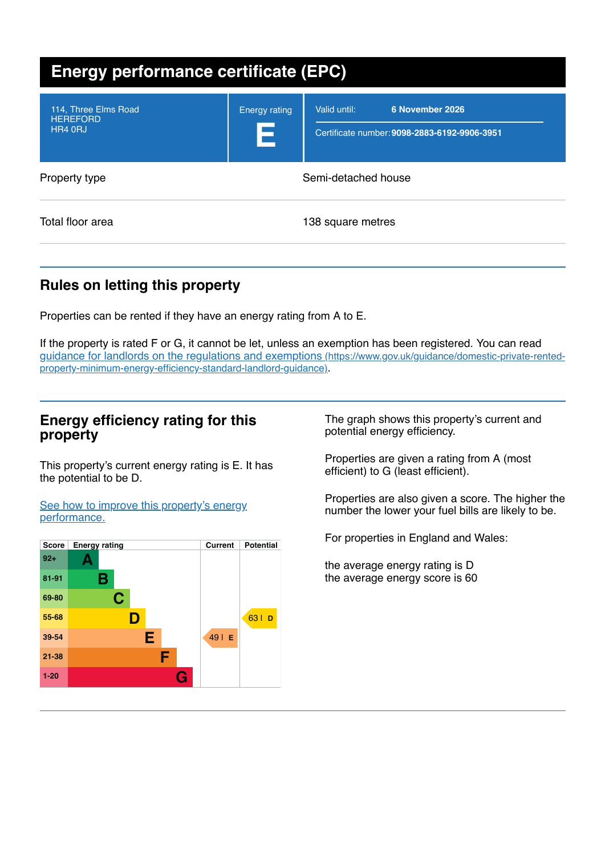| <b>Energy performance certificate (EPC)</b>        |                           |                                                                                 |
|----------------------------------------------------|---------------------------|---------------------------------------------------------------------------------|
| 114, Three Elms Road<br><b>HEREFORD</b><br>HR4 0RJ | <b>Energy rating</b><br>Е | Valid until:<br>6 November 2026<br>Certificate number: 9098-2883-6192-9906-3951 |
| Property type                                      | Semi-detached house       |                                                                                 |
| Total floor area                                   |                           | 138 square metres                                                               |

# **Rules on letting this property**

Properties can be rented if they have an energy rating from A to E.

If the property is rated F or G, it cannot be let, unless an exemption has been registered. You can read guidance for landlords on the regulations and exemptions (https://www.gov.uk/guidance/domestic-private-rented[property-minimum-energy-efficiency-standard-landlord-guidance\)](https://www.gov.uk/guidance/domestic-private-rented-property-minimum-energy-efficiency-standard-landlord-guidance).

## **Energy efficiency rating for this property**

This property's current energy rating is E. It has the potential to be D.

See how to improve this property's energy [performance.](#page-2-0)



The graph shows this property's current and potential energy efficiency.

Properties are given a rating from A (most efficient) to G (least efficient).

Properties are also given a score. The higher the number the lower your fuel bills are likely to be.

For properties in England and Wales:

the average energy rating is D the average energy score is 60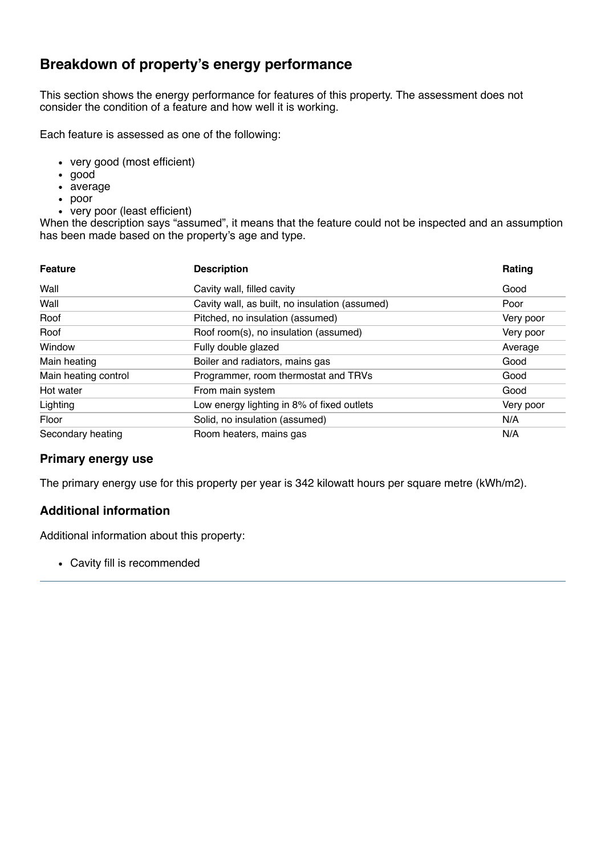# **Breakdown of property's energy performance**

This section shows the energy performance for features of this property. The assessment does not consider the condition of a feature and how well it is working.

Each feature is assessed as one of the following:

- very good (most efficient)
- good
- average
- poor
- very poor (least efficient)

When the description says "assumed", it means that the feature could not be inspected and an assumption has been made based on the property's age and type.

| <b>Feature</b>       | <b>Description</b>                             | Rating    |
|----------------------|------------------------------------------------|-----------|
| Wall                 | Cavity wall, filled cavity                     | Good      |
| Wall                 | Cavity wall, as built, no insulation (assumed) | Poor      |
| Roof                 | Pitched, no insulation (assumed)               | Very poor |
| Roof                 | Roof room(s), no insulation (assumed)          | Very poor |
| Window               | Fully double glazed                            | Average   |
| Main heating         | Boiler and radiators, mains gas                | Good      |
| Main heating control | Programmer, room thermostat and TRVs           | Good      |
| Hot water            | From main system                               | Good      |
| Lighting             | Low energy lighting in 8% of fixed outlets     | Very poor |
| Floor                | Solid, no insulation (assumed)                 | N/A       |
| Secondary heating    | Room heaters, mains gas                        | N/A       |

### **Primary energy use**

The primary energy use for this property per year is 342 kilowatt hours per square metre (kWh/m2).

### **Additional information**

Additional information about this property:

Cavity fill is recommended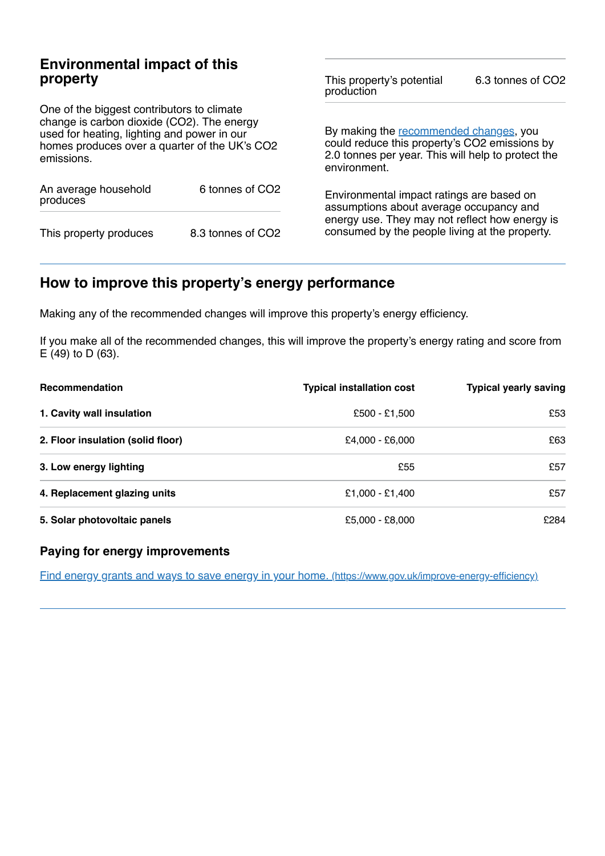## **Environmental impact of this property**

One of the biggest contributors to climate change is carbon dioxide (CO2). The energy used for heating, lighting and power in our homes produces over a quarter of the UK's CO2 emissions.

| An average household<br>produces | 6 tonnes of CO <sub>2</sub> |  |
|----------------------------------|-----------------------------|--|
| This property produces           | 8.3 tonnes of CO2           |  |

This property's potential production 6.3 tonnes of CO2

By making the [recommended](#page-2-0) changes, you could reduce this property's CO2 emissions by 2.0 tonnes per year. This will help to protect the environment.

Environmental impact ratings are based on assumptions about average occupancy and energy use. They may not reflect how energy is consumed by the people living at the property.

# <span id="page-2-0"></span>**How to improve this property's energy performance**

Making any of the recommended changes will improve this property's energy efficiency.

If you make all of the recommended changes, this will improve the property's energy rating and score from E (49) to D (63).

| Recommendation                    | <b>Typical installation cost</b> | <b>Typical yearly saving</b> |
|-----------------------------------|----------------------------------|------------------------------|
| 1. Cavity wall insulation         | £500 - £1,500                    | £53                          |
| 2. Floor insulation (solid floor) | £4,000 - £6,000                  | £63                          |
| 3. Low energy lighting            | £55                              | £57                          |
| 4. Replacement glazing units      | £1,000 - £1,400                  | £57                          |
| 5. Solar photovoltaic panels      | £5,000 - £8,000                  | £284                         |

### **Paying for energy improvements**

Find energy grants and ways to save energy in your home. [\(https://www.gov.uk/improve-energy-efficiency\)](https://www.gov.uk/improve-energy-efficiency)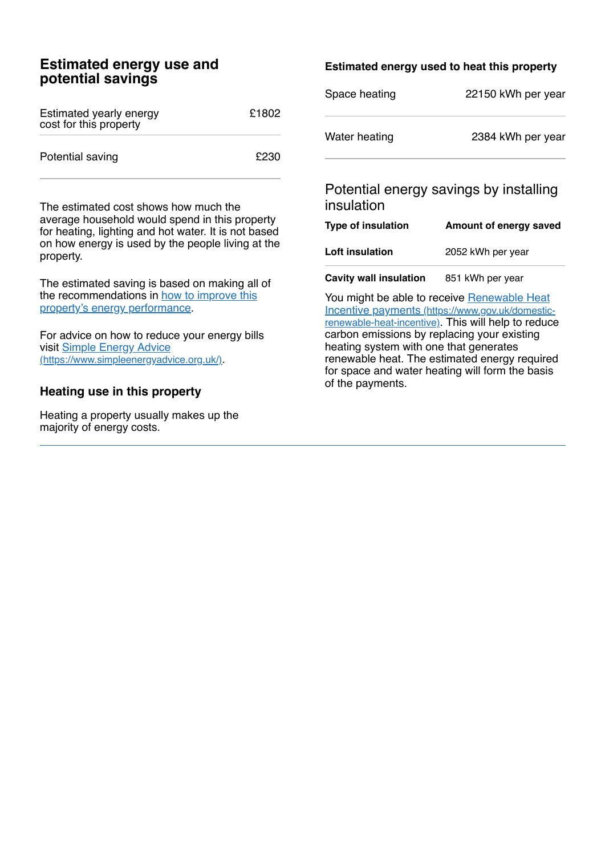## **Estimated energy use and potential savings**

| Estimated yearly energy<br>cost for this property | £1802 |
|---------------------------------------------------|-------|
| Potential saving                                  | £230  |

The estimated cost shows how much the average household would spend in this property for heating, lighting and hot water. It is not based on how energy is used by the people living at the property.

The estimated saving is based on making all of the [recommendations](#page-2-0) in how to improve this property's energy performance.

For advice on how to reduce your energy bills visit Simple Energy Advice [\(https://www.simpleenergyadvice.org.uk/\)](https://www.simpleenergyadvice.org.uk/).

### **Heating use in this property**

Heating a property usually makes up the majority of energy costs.

### **Estimated energy used to heat this property**

| Space heating | 22150 kWh per year |
|---------------|--------------------|
| Water heating | 2384 kWh per year  |

## Potential energy savings by installing insulation

| Type of insulation            | Amount of energy saved |  |
|-------------------------------|------------------------|--|
| Loft insulation               | 2052 kWh per year      |  |
| <b>Cavity wall insulation</b> | 851 kWh per year       |  |

You might be able to receive Renewable Heat Incentive payments [\(https://www.gov.uk/domestic](https://www.gov.uk/domestic-renewable-heat-incentive)renewable-heat-incentive). This will help to reduce carbon emissions by replacing your existing heating system with one that generates renewable heat. The estimated energy required for space and water heating will form the basis of the payments.